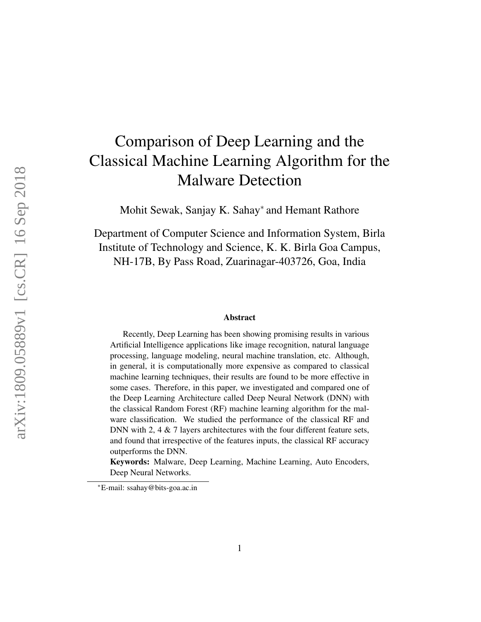# Comparison of Deep Learning and the Classical Machine Learning Algorithm for the Malware Detection

Mohit Sewak, Sanjay K. Sahay<sup>∗</sup> and Hemant Rathore

Department of Computer Science and Information System, Birla Institute of Technology and Science, K. K. Birla Goa Campus, NH-17B, By Pass Road, Zuarinagar-403726, Goa, India

#### Abstract

Recently, Deep Learning has been showing promising results in various Artificial Intelligence applications like image recognition, natural language processing, language modeling, neural machine translation, etc. Although, in general, it is computationally more expensive as compared to classical machine learning techniques, their results are found to be more effective in some cases. Therefore, in this paper, we investigated and compared one of the Deep Learning Architecture called Deep Neural Network (DNN) with the classical Random Forest (RF) machine learning algorithm for the malware classification. We studied the performance of the classical RF and DNN with 2, 4 & 7 layers architectures with the four different feature sets, and found that irrespective of the features inputs, the classical RF accuracy outperforms the DNN.

Keywords: Malware, Deep Learning, Machine Learning, Auto Encoders, Deep Neural Networks.

<sup>∗</sup>E-mail: ssahay@bits-goa.ac.in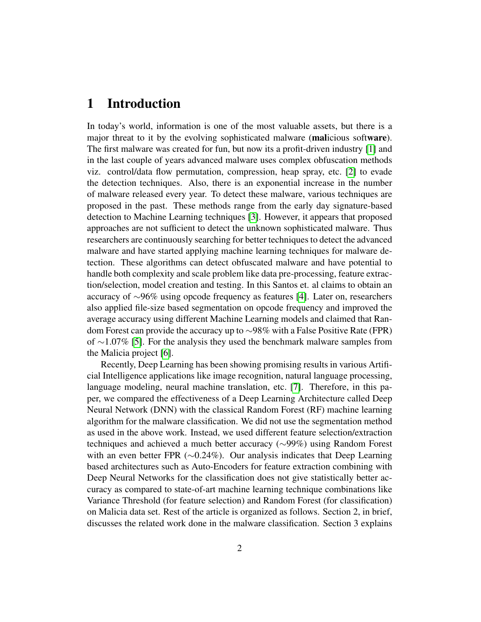#### 1 Introduction

In today's world, information is one of the most valuable assets, but there is a major threat to it by the evolving sophisticated malware (malicious software). The first malware was created for fun, but now its a profit-driven industry [\[1\]](#page-8-0) and in the last couple of years advanced malware uses complex obfuscation methods viz. control/data flow permutation, compression, heap spray, etc. [\[2\]](#page-8-1) to evade the detection techniques. Also, there is an exponential increase in the number of malware released every year. To detect these malware, various techniques are proposed in the past. These methods range from the early day signature-based detection to Machine Learning techniques [\[3\]](#page-8-2). However, it appears that proposed approaches are not sufficient to detect the unknown sophisticated malware. Thus researchers are continuously searching for better techniques to detect the advanced malware and have started applying machine learning techniques for malware detection. These algorithms can detect obfuscated malware and have potential to handle both complexity and scale problem like data pre-processing, feature extraction/selection, model creation and testing. In this Santos et. al claims to obtain an accuracy of ∼96% using opcode frequency as features [\[4\]](#page-8-3). Later on, researchers also applied file-size based segmentation on opcode frequency and improved the average accuracy using different Machine Learning models and claimed that Random Forest can provide the accuracy up to ∼98% with a False Positive Rate (FPR) of ∼1.07% [\[5\]](#page-8-4). For the analysis they used the benchmark malware samples from the Malicia project [\[6\]](#page-8-5).

Recently, Deep Learning has been showing promising results in various Artificial Intelligence applications like image recognition, natural language processing, language modeling, neural machine translation, etc. [\[7\]](#page-8-6). Therefore, in this paper, we compared the effectiveness of a Deep Learning Architecture called Deep Neural Network (DNN) with the classical Random Forest (RF) machine learning algorithm for the malware classification. We did not use the segmentation method as used in the above work. Instead, we used different feature selection/extraction techniques and achieved a much better accuracy (∼99%) using Random Forest with an even better FPR (∼0.24%). Our analysis indicates that Deep Learning based architectures such as Auto-Encoders for feature extraction combining with Deep Neural Networks for the classification does not give statistically better accuracy as compared to state-of-art machine learning technique combinations like Variance Threshold (for feature selection) and Random Forest (for classification) on Malicia data set. Rest of the article is organized as follows. Section 2, in brief, discusses the related work done in the malware classification. Section 3 explains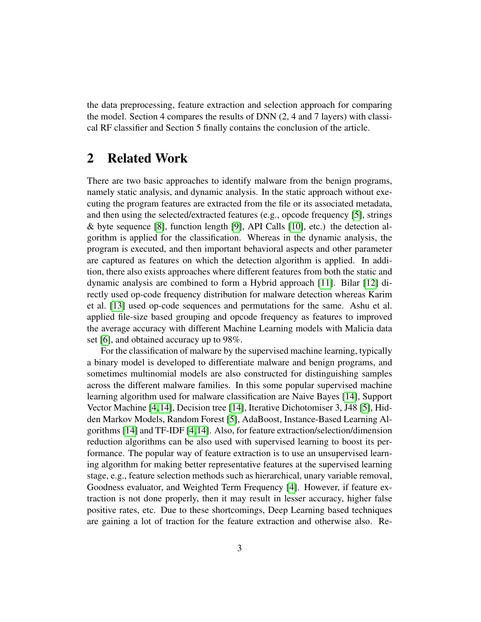the data preprocessing, feature extraction and selection approach for comparing the model. Section 4 compares the results of DNN (2, 4 and 7 layers) with classical RF classifier and Section 5 finally contains the conclusion of the article.

## 2 Related Work

There are two basic approaches to identify malware from the benign programs, namely static analysis, and dynamic analysis. In the static approach without executing the program features are extracted from the file or its associated metadata, and then using the selected/extracted features (e.g., opcode frequency [\[5\]](#page-8-4), strings & byte sequence [\[8\]](#page-8-7), function length [\[9\]](#page-8-8), API Calls [\[10\]](#page-9-0), etc.) the detection algorithm is applied for the classification. Whereas in the dynamic analysis, the program is executed, and then important behavioral aspects and other parameter are captured as features on which the detection algorithm is applied. In addition, there also exists approaches where different features from both the static and dynamic analysis are combined to form a Hybrid approach [\[11\]](#page-9-1). Bilar [\[12\]](#page-9-2) directly used op-code frequency distribution for malware detection whereas Karim et al. [\[13\]](#page-9-3) used op-code sequences and permutations for the same. Ashu et al. applied file-size based grouping and opcode frequency as features to improved the average accuracy with different Machine Learning models with Malicia data set [\[6\]](#page-8-5), and obtained accuracy up to 98%.

For the classification of malware by the supervised machine learning, typically a binary model is developed to differentiate malware and benign programs, and sometimes multinomial models are also constructed for distinguishing samples across the different malware families. In this some popular supervised machine learning algorithm used for malware classification are Naive Bayes [\[14\]](#page-9-4), Support Vector Machine [\[4,](#page-8-3)[14\]](#page-9-4), Decision tree [\[14\]](#page-9-4), Iterative Dichotomiser 3, J48 [\[5\]](#page-8-4), Hidden Markov Models, Random Forest [\[5\]](#page-8-4), AdaBoost, Instance-Based Learning Algorithms [\[14\]](#page-9-4) and TF-IDF [\[4,](#page-8-3)[14\]](#page-9-4). Also, for feature extraction/selection/dimension reduction algorithms can be also used with supervised learning to boost its performance. The popular way of feature extraction is to use an unsupervised learning algorithm for making better representative features at the supervised learning stage, e.g., feature selection methods such as hierarchical, unary variable removal, Goodness evaluator, and Weighted Term Frequency [\[4\]](#page-8-3). However, if feature extraction is not done properly, then it may result in lesser accuracy, higher false positive rates, etc. Due to these shortcomings, Deep Learning based techniques are gaining a lot of traction for the feature extraction and otherwise also. Re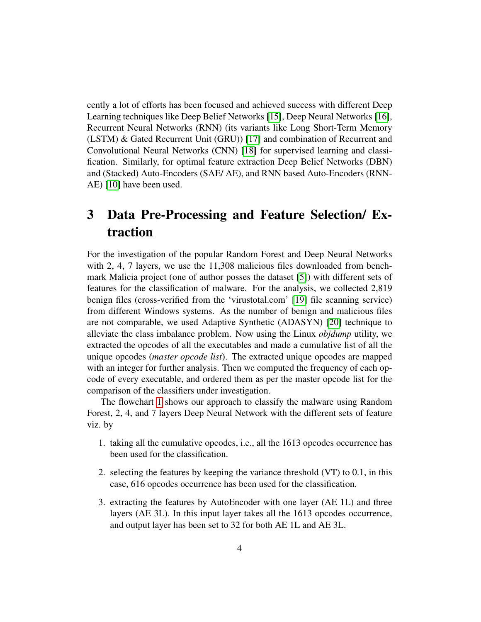cently a lot of efforts has been focused and achieved success with different Deep Learning techniques like Deep Belief Networks [\[15\]](#page-9-5), Deep Neural Networks [\[16\]](#page-9-6), Recurrent Neural Networks (RNN) (its variants like Long Short-Term Memory (LSTM) & Gated Recurrent Unit (GRU)) [\[17\]](#page-9-7) and combination of Recurrent and Convolutional Neural Networks (CNN) [\[18\]](#page-9-8) for supervised learning and classification. Similarly, for optimal feature extraction Deep Belief Networks (DBN) and (Stacked) Auto-Encoders (SAE/ AE), and RNN based Auto-Encoders (RNN-AE) [\[10\]](#page-9-0) have been used.

## 3 Data Pre-Processing and Feature Selection/ Extraction

For the investigation of the popular Random Forest and Deep Neural Networks with 2, 4, 7 layers, we use the 11,308 malicious files downloaded from benchmark Malicia project (one of author posses the dataset [\[5\]](#page-8-4)) with different sets of features for the classification of malware. For the analysis, we collected 2,819 benign files (cross-verified from the 'virustotal.com' [\[19\]](#page-10-0) file scanning service) from different Windows systems. As the number of benign and malicious files are not comparable, we used Adaptive Synthetic (ADASYN) [\[20\]](#page-10-1) technique to alleviate the class imbalance problem. Now using the Linux *objdump* utility, we extracted the opcodes of all the executables and made a cumulative list of all the unique opcodes (*master opcode list*). The extracted unique opcodes are mapped with an integer for further analysis. Then we computed the frequency of each opcode of every executable, and ordered them as per the master opcode list for the comparison of the classifiers under investigation.

The flowchart [1](#page-5-0) shows our approach to classify the malware using Random Forest, 2, 4, and 7 layers Deep Neural Network with the different sets of feature viz. by

- 1. taking all the cumulative opcodes, i.e., all the 1613 opcodes occurrence has been used for the classification.
- 2. selecting the features by keeping the variance threshold (VT) to 0.1, in this case, 616 opcodes occurrence has been used for the classification.
- 3. extracting the features by AutoEncoder with one layer (AE 1L) and three layers (AE 3L). In this input layer takes all the 1613 opcodes occurrence, and output layer has been set to 32 for both AE 1L and AE 3L.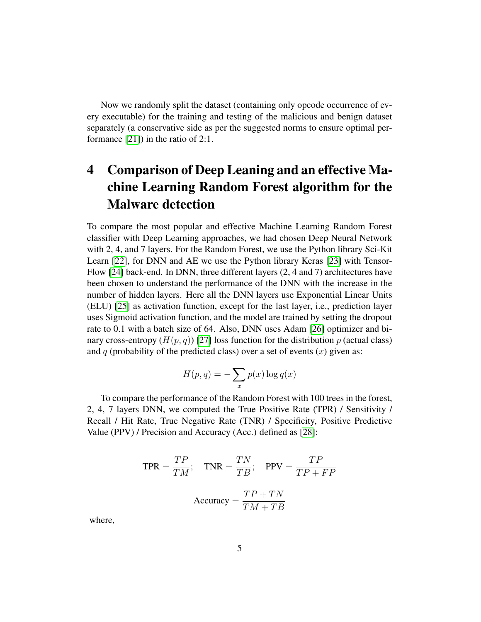Now we randomly split the dataset (containing only opcode occurrence of every executable) for the training and testing of the malicious and benign dataset separately (a conservative side as per the suggested norms to ensure optimal performance [\[21\]](#page-10-2)) in the ratio of 2:1.

## 4 Comparison of Deep Leaning and an effective Machine Learning Random Forest algorithm for the Malware detection

To compare the most popular and effective Machine Learning Random Forest classifier with Deep Learning approaches, we had chosen Deep Neural Network with 2, 4, and 7 layers. For the Random Forest, we use the Python library Sci-Kit Learn [\[22\]](#page-10-3), for DNN and AE we use the Python library Keras [\[23\]](#page-10-4) with Tensor-Flow [\[24\]](#page-10-5) back-end. In DNN, three different layers (2, 4 and 7) architectures have been chosen to understand the performance of the DNN with the increase in the number of hidden layers. Here all the DNN layers use Exponential Linear Units (ELU) [\[25\]](#page-10-6) as activation function, except for the last layer, i.e., prediction layer uses Sigmoid activation function, and the model are trained by setting the dropout rate to 0.1 with a batch size of 64. Also, DNN uses Adam [\[26\]](#page-10-7) optimizer and binary cross-entropy  $(H(p, q))$  [\[27\]](#page-10-8) loss function for the distribution p (actual class) and q (probability of the predicted class) over a set of events  $(x)$  given as:

$$
H(p,q) = -\sum_{x} p(x) \log q(x)
$$

To compare the performance of the Random Forest with 100 trees in the forest, 2, 4, 7 layers DNN, we computed the True Positive Rate (TPR) / Sensitivity / Recall / Hit Rate, True Negative Rate (TNR) / Specificity, Positive Predictive Value (PPV) / Precision and Accuracy (Acc.) defined as [\[28\]](#page-10-9):

$$
TPR = \frac{TP}{TM}; \quad TNR = \frac{TN}{TB}; \quad PPV = \frac{TP}{TP + FP}
$$

$$
Accuracy = \frac{TP + TN}{TM + TB}
$$

where,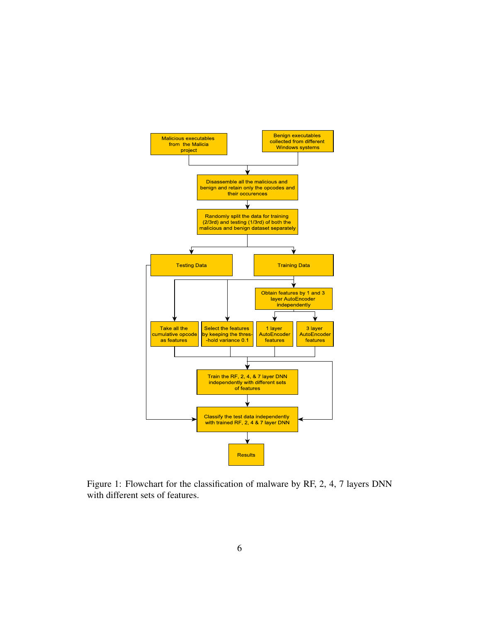

<span id="page-5-0"></span>Figure 1: Flowchart for the classification of malware by RF, 2, 4, 7 layers DNN with different sets of features.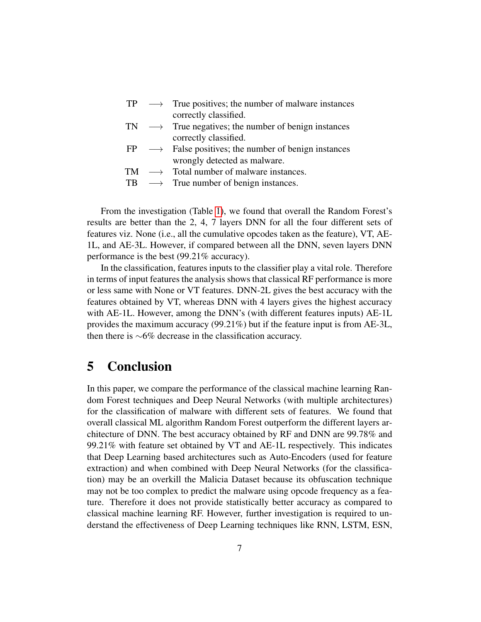- $TP \rightarrow$  True positives; the number of malware instances correctly classified.
- $TN \rightarrow$  True negatives; the number of benign instances correctly classified.
- $FP \rightarrow$  False positives; the number of benign instances wrongly detected as malware.
- $TM \rightarrow$  Total number of malware instances.
- TB  $\longrightarrow$  True number of benign instances.

From the investigation (Table [1\)](#page-7-0), we found that overall the Random Forest's results are better than the 2, 4, 7 layers DNN for all the four different sets of features viz. None (i.e., all the cumulative opcodes taken as the feature), VT, AE-1L, and AE-3L. However, if compared between all the DNN, seven layers DNN performance is the best (99.21% accuracy).

In the classification, features inputs to the classifier play a vital role. Therefore in terms of input features the analysis shows that classical RF performance is more or less same with None or VT features. DNN-2L gives the best accuracy with the features obtained by VT, whereas DNN with 4 layers gives the highest accuracy with AE-1L. However, among the DNN's (with different features inputs) AE-1L provides the maximum accuracy (99.21%) but if the feature input is from AE-3L, then there is ∼6% decrease in the classification accuracy.

## 5 Conclusion

In this paper, we compare the performance of the classical machine learning Random Forest techniques and Deep Neural Networks (with multiple architectures) for the classification of malware with different sets of features. We found that overall classical ML algorithm Random Forest outperform the different layers architecture of DNN. The best accuracy obtained by RF and DNN are 99.78% and 99.21% with feature set obtained by VT and AE-1L respectively. This indicates that Deep Learning based architectures such as Auto-Encoders (used for feature extraction) and when combined with Deep Neural Networks (for the classification) may be an overkill the Malicia Dataset because its obfuscation technique may not be too complex to predict the malware using opcode frequency as a feature. Therefore it does not provide statistically better accuracy as compared to classical machine learning RF. However, further investigation is required to understand the effectiveness of Deep Learning techniques like RNN, LSTM, ESN,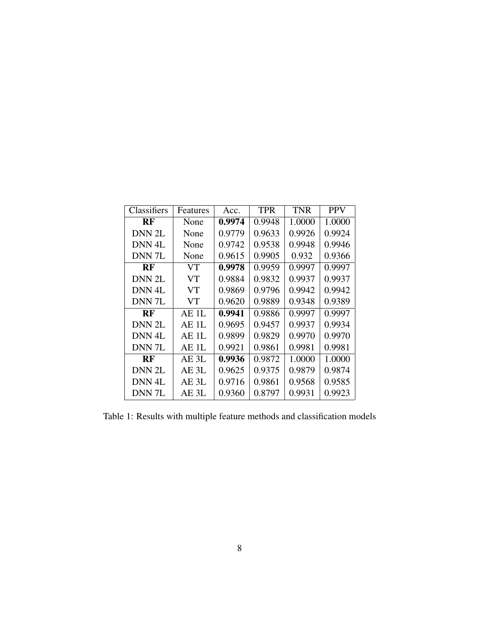| Classifiers       | Features | Acc.   | <b>TPR</b> | <b>TNR</b> | <b>PPV</b> |
|-------------------|----------|--------|------------|------------|------------|
| <b>RF</b>         | None     | 0.9974 | 0.9948     | 1.0000     | 1.0000     |
| DNN 2L            | None     | 0.9779 | 0.9633     | 0.9926     | 0.9924     |
| DNN <sub>4L</sub> | None     | 0.9742 | 0.9538     | 0.9948     | 0.9946     |
| DNN <sub>7L</sub> | None     | 0.9615 | 0.9905     | 0.932      | 0.9366     |
| <b>RF</b>         | VT       | 0.9978 | 0.9959     | 0.9997     | 0.9997     |
| DNN 2L            | VT       | 0.9884 | 0.9832     | 0.9937     | 0.9937     |
| DNN <sub>4L</sub> | VT       | 0.9869 | 0.9796     | 0.9942     | 0.9942     |
| DNN <sub>7L</sub> | VT       | 0.9620 | 0.9889     | 0.9348     | 0.9389     |
| <b>RF</b>         | AE 1L    | 0.9941 | 0.9886     | 0.9997     | 0.9997     |
| DNN 2L            | AE 1L    | 0.9695 | 0.9457     | 0.9937     | 0.9934     |
| DNN <sub>4L</sub> | AE 1L    | 0.9899 | 0.9829     | 0.9970     | 0.9970     |
| DNN <sub>7L</sub> | AE 1L    | 0.9921 | 0.9861     | 0.9981     | 0.9981     |
| RF                | AE 3L    | 0.9936 | 0.9872     | 1.0000     | 1.0000     |
| DNN 2L            | AE 3L    | 0.9625 | 0.9375     | 0.9879     | 0.9874     |
| DNN <sub>4L</sub> | AE 3L    | 0.9716 | 0.9861     | 0.9568     | 0.9585     |
| DNN 7L            | AE 3L    | 0.9360 | 0.8797     | 0.9931     | 0.9923     |

<span id="page-7-0"></span>Table 1: Results with multiple feature methods and classification models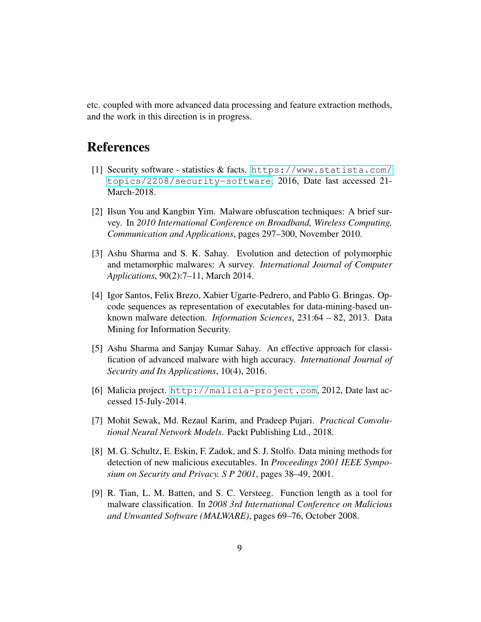etc. coupled with more advanced data processing and feature extraction methods, and the work in this direction is in progress.

## References

- <span id="page-8-0"></span>[1] Security software - statistics & facts. [https://www.statista.com/](https://www.statista.com/topics/2208/security-software) [topics/2208/security-software](https://www.statista.com/topics/2208/security-software), 2016, Date last accessed 21- March-2018.
- <span id="page-8-1"></span>[2] Ilsun You and Kangbin Yim. Malware obfuscation techniques: A brief survey. In *2010 International Conference on Broadband, Wireless Computing, Communication and Applications*, pages 297–300, November 2010.
- <span id="page-8-2"></span>[3] Ashu Sharma and S. K. Sahay. Evolution and detection of polymorphic and metamorphic malwares: A survey. *International Journal of Computer Applications*, 90(2):7–11, March 2014.
- <span id="page-8-3"></span>[4] Igor Santos, Felix Brezo, Xabier Ugarte-Pedrero, and Pablo G. Bringas. Opcode sequences as representation of executables for data-mining-based unknown malware detection. *Information Sciences*, 231:64 – 82, 2013. Data Mining for Information Security.
- <span id="page-8-4"></span>[5] Ashu Sharma and Sanjay Kumar Sahay. An effective approach for classification of advanced malware with high accuracy. *International Journal of Security and Its Applications*, 10(4), 2016.
- <span id="page-8-5"></span>[6] Malicia project. <http://malicia-project.com>, 2012, Date last accessed 15-July-2014.
- <span id="page-8-6"></span>[7] Mohit Sewak, Md. Rezaul Karim, and Pradeep Pujari. *Practical Convolutional Neural Network Models*. Packt Publishing Ltd., 2018.
- <span id="page-8-7"></span>[8] M. G. Schultz, E. Eskin, F. Zadok, and S. J. Stolfo. Data mining methods for detection of new malicious executables. In *Proceedings 2001 IEEE Symposium on Security and Privacy. S P 2001*, pages 38–49, 2001.
- <span id="page-8-8"></span>[9] R. Tian, L. M. Batten, and S. C. Versteeg. Function length as a tool for malware classification. In *2008 3rd International Conference on Malicious and Unwanted Software (MALWARE)*, pages 69–76, October 2008.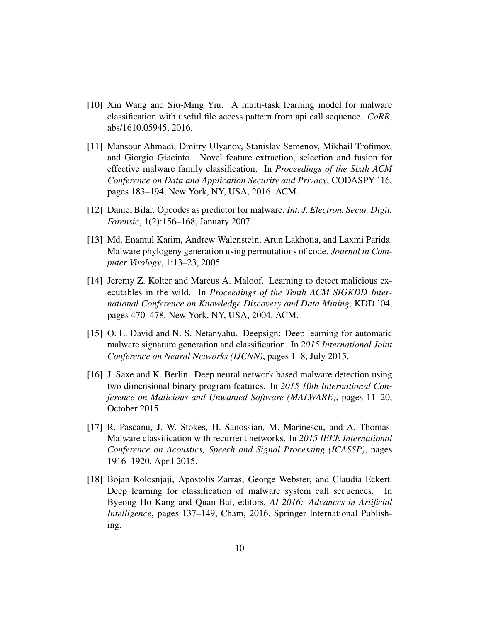- <span id="page-9-0"></span>[10] Xin Wang and Siu-Ming Yiu. A multi-task learning model for malware classification with useful file access pattern from api call sequence. *CoRR*, abs/1610.05945, 2016.
- <span id="page-9-1"></span>[11] Mansour Ahmadi, Dmitry Ulyanov, Stanislav Semenov, Mikhail Trofimov, and Giorgio Giacinto. Novel feature extraction, selection and fusion for effective malware family classification. In *Proceedings of the Sixth ACM Conference on Data and Application Security and Privacy*, CODASPY '16, pages 183–194, New York, NY, USA, 2016. ACM.
- <span id="page-9-2"></span>[12] Daniel Bilar. Opcodes as predictor for malware. *Int. J. Electron. Secur. Digit. Forensic*, 1(2):156–168, January 2007.
- <span id="page-9-3"></span>[13] Md. Enamul Karim, Andrew Walenstein, Arun Lakhotia, and Laxmi Parida. Malware phylogeny generation using permutations of code. *Journal in Computer Virology*, 1:13–23, 2005.
- <span id="page-9-4"></span>[14] Jeremy Z. Kolter and Marcus A. Maloof. Learning to detect malicious executables in the wild. In *Proceedings of the Tenth ACM SIGKDD International Conference on Knowledge Discovery and Data Mining*, KDD '04, pages 470–478, New York, NY, USA, 2004. ACM.
- <span id="page-9-5"></span>[15] O. E. David and N. S. Netanyahu. Deepsign: Deep learning for automatic malware signature generation and classification. In *2015 International Joint Conference on Neural Networks (IJCNN)*, pages 1–8, July 2015.
- <span id="page-9-6"></span>[16] J. Saxe and K. Berlin. Deep neural network based malware detection using two dimensional binary program features. In *2015 10th International Conference on Malicious and Unwanted Software (MALWARE)*, pages 11–20, October 2015.
- <span id="page-9-7"></span>[17] R. Pascanu, J. W. Stokes, H. Sanossian, M. Marinescu, and A. Thomas. Malware classification with recurrent networks. In *2015 IEEE International Conference on Acoustics, Speech and Signal Processing (ICASSP)*, pages 1916–1920, April 2015.
- <span id="page-9-8"></span>[18] Bojan Kolosnjaji, Apostolis Zarras, George Webster, and Claudia Eckert. Deep learning for classification of malware system call sequences. Byeong Ho Kang and Quan Bai, editors, *AI 2016: Advances in Artificial Intelligence*, pages 137–149, Cham, 2016. Springer International Publishing.